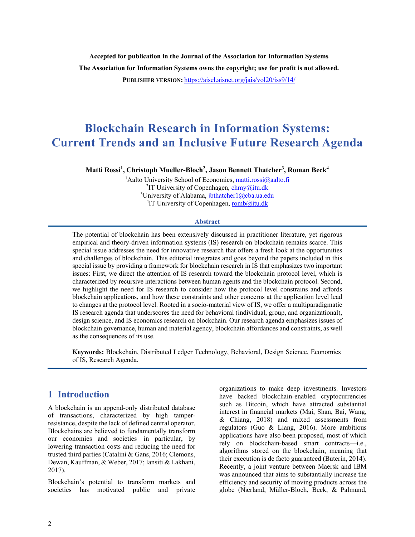**Accepted for publication in the Journal of the Association for Information Systems The Association for Information Systems owns the copyright; use for profit is not allowed.**

**PUBLISHER VERSION:** https://aisel.aisnet.org/jais/vol20/iss9/14/

# **Blockchain Research in Information Systems: Current Trends and an Inclusive Future Research Agenda**

**Matti Rossi1 , Christoph Mueller-Bloch2 , Jason Bennett Thatcher3 , Roman Beck4**

<sup>1</sup>Aalto University School of Economics, matti.rossi@aalto.fi <sup>2</sup>IT University of Copenhagen, chmy@itu.dk <sup>3</sup>University of Alabama, jbthatcher1@cba.ua.edu <sup>4</sup>IT University of Copenhagen, romb@itu.dk

#### **Abstract**

The potential of blockchain has been extensively discussed in practitioner literature, yet rigorous empirical and theory-driven information systems (IS) research on blockchain remains scarce. This special issue addresses the need for innovative research that offers a fresh look at the opportunities and challenges of blockchain. This editorial integrates and goes beyond the papers included in this special issue by providing a framework for blockchain research in IS that emphasizes two important issues: First, we direct the attention of IS research toward the blockchain protocol level, which is characterized by recursive interactions between human agents and the blockchain protocol. Second, we highlight the need for IS research to consider how the protocol level constrains and affords blockchain applications, and how these constraints and other concerns at the application level lead to changes at the protocol level. Rooted in a socio-material view of IS, we offer a multiparadigmatic IS research agenda that underscores the need for behavioral (individual, group, and organizational), design science, and IS economics research on blockchain. Our research agenda emphasizes issues of blockchain governance, human and material agency, blockchain affordances and constraints, as well as the consequences of its use.

**Keywords:** Blockchain, Distributed Ledger Technology, Behavioral, Design Science, Economics of IS, Research Agenda.

### **1 Introduction**

A blockchain is an append-only distributed database of transactions, characterized by high tamperresistance, despite the lack of defined central operator. Blockchains are believed to fundamentally transform our economies and societies—in particular, by lowering transaction costs and reducing the need for trusted third parties (Catalini & Gans, 2016; Clemons, Dewan, Kauffman, & Weber, 2017; Iansiti & Lakhani, 2017).

Blockchain's potential to transform markets and societies has motivated public and private

organizations to make deep investments. Investors have backed blockchain-enabled cryptocurrencies such as Bitcoin, which have attracted substantial interest in financial markets (Mai, Shan, Bai, Wang, & Chiang, 2018) and mixed assessments from regulators (Guo & Liang, 2016). More ambitious applications have also been proposed, most of which rely on blockchain-based smart contracts—i.e., algorithms stored on the blockchain, meaning that their execution is de facto guaranteed (Buterin, 2014). Recently, a joint venture between Maersk and IBM was announced that aims to substantially increase the efficiency and security of moving products across the globe (Nærland, Müller-Bloch, Beck, & Palmund,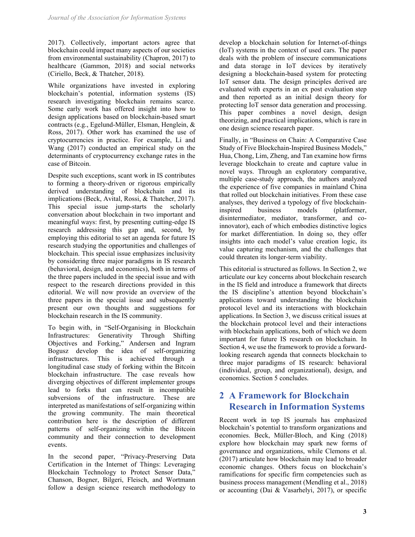2017). Collectively, important actors agree that blockchain could impact many aspects of our societies from environmental sustainability (Chapron, 2017) to healthcare (Gammon, 2018) and social networks (Ciriello, Beck, & Thatcher, 2018).

While organizations have invested in exploring blockchain's potential, information systems (IS) research investigating blockchain remains scarce. Some early work has offered insight into how to design applications based on blockchain-based smart contracts (e.g., Egelund-Müller, Elsman, Henglein, & Ross, 2017). Other work has examined the use of cryptocurrencies in practice. For example, Li and Wang (2017) conducted an empirical study on the determinants of cryptocurrency exchange rates in the case of Bitcoin.

Despite such exceptions, scant work in IS contributes to forming a theory-driven or rigorous empirically derived understanding of blockchain and its implications (Beck, Avital, Rossi, & Thatcher, 2017). This special issue jump-starts the scholarly conversation about blockchain in two important and meaningful ways: first, by presenting cutting-edge IS research addressing this gap and, second, by employing this editorial to set an agenda for future IS research studying the opportunities and challenges of blockchain. This special issue emphasizes inclusivity by considering three major paradigms in IS research (behavioral, design, and economics), both in terms of the three papers included in the special issue and with respect to the research directions provided in this editorial. We will now provide an overview of the three papers in the special issue and subsequently present our own thoughts and suggestions for blockchain research in the IS community.

To begin with, in "Self-Organising in Blockchain Infrastructures: Generativity Through Shifting Objectives and Forking," Andersen and Ingram Bogusz develop the idea of self-organizing infrastructures. This is achieved through a longitudinal case study of forking within the Bitcoin blockchain infrastructure. The case reveals how diverging objectives of different implementer groups lead to forks that can result in incompatible subversions of the infrastructure. These are interpreted as manifestations of self-organizing within the growing community. The main theoretical contribution here is the description of different patterns of self-organizing within the Bitcoin community and their connection to development events.

In the second paper, "Privacy-Preserving Data Certification in the Internet of Things: Leveraging Blockchain Technology to Protect Sensor Data," Chanson, Bogner, Bilgeri, Fleisch, and Wortmann follow a design science research methodology to

develop a blockchain solution for Internet-of-things (IoT) systems in the context of used cars. The paper deals with the problem of insecure communications and data storage in IoT devices by iteratively designing a blockchain-based system for protecting IoT sensor data. The design principles derived are evaluated with experts in an ex post evaluation step and then reported as an initial design theory for protecting IoT sensor data generation and processing. This paper combines a novel design, design theorizing, and practical implications, which is rare in one design science research paper.

Finally, in "Business on Chain: A Comparative Case Study of Five Blockchain-Inspired Business Models," Hua, Chong, Lim, Zheng, and Tan examine how firms leverage blockchain to create and capture value in novel ways. Through an exploratory comparative, multiple case-study approach, the authors analyzed the experience of five companies in mainland China that rolled out blockchain initiatives. From these case analyses, they derived a typology of five blockchaininspired business models (platformer, disintermediator, mediator, transformer, and coinnovator), each of which embodies distinctive logics for market differentiation. In doing so, they offer insights into each model's value creation logic, its value capturing mechanism, and the challenges that could threaten its longer-term viability.

This editorial is structured as follows. In Section 2, we articulate our key concerns about blockchain research in the IS field and introduce a framework that directs the IS discipline's attention beyond blockchain's applications toward understanding the blockchain protocol level and its interactions with blockchain applications. In Section 3, we discuss critical issues at the blockchain protocol level and their interactions with blockchain applications, both of which we deem important for future IS research on blockchain. In Section 4, we use the framework to provide a forwardlooking research agenda that connects blockchain to three major paradigms of IS research: behavioral (individual, group, and organizational), design, and economics. Section 5 concludes.

## **2 A Framework for Blockchain Research in Information Systems**

Recent work in top IS journals has emphasized blockchain's potential to transform organizations and economies. Beck, Müller-Bloch, and King (2018) explore how blockchain may spark new forms of governance and organizations, while Clemons et al. (2017) articulate how blockchain may lead to broader economic changes. Others focus on blockchain's ramifications for specific firm competencies such as business process management (Mendling et al., 2018) or accounting (Dai & Vasarhelyi, 2017), or specific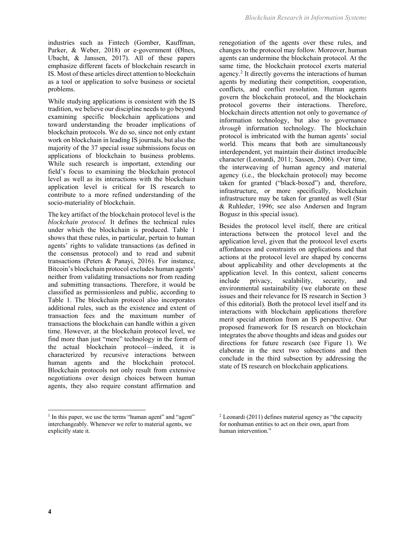**4**

industries such as Fintech (Gomber, Kauffman, Parker, & Weber, 2018) or e-government (Ølnes, Ubacht, & Janssen, 2017). All of these papers emphasize different facets of blockchain research in IS. Most of these articles direct attention to blockchain as a tool or application to solve business or societal problems.

While studying applications is consistent with the IS tradition, we believe our discipline needs to go beyond examining specific blockchain applications and toward understanding the broader implications of blockchain protocols. We do so, since not only extant work on blockchain in leading IS journals, but also the majority of the 37 special issue submissions focus on applications of blockchain to business problems. While such research is important, extending our field's focus to examining the blockchain protocol level as well as its interactions with the blockchain application level is critical for IS research to contribute to a more refined understanding of the socio-materiality of blockchain.

The key artifact of the blockchain protocol level is the *blockchain protocol.* It defines the technical rules under which the blockchain is produced. Table 1 shows that these rules, in particular, pertain to human agents' rights to validate transactions (as defined in the consensus protocol) and to read and submit transactions (Peters & Panayi, 2016). For instance, Bitcoin's blockchain protocol excludes human agents<sup>1</sup> neither from validating transactions nor from reading and submitting transactions. Therefore, it would be classified as permissionless and public, according to Table 1. The blockchain protocol also incorporates additional rules, such as the existence and extent of transaction fees and the maximum number of transactions the blockchain can handle within a given time. However, at the blockchain protocol level, we find more than just "mere" technology in the form of the actual blockchain protocol—indeed, it is characterized by recursive interactions between human agents and the blockchain protocol. Blockchain protocols not only result from extensive negotiations over design choices between human agents, they also require constant affirmation and

*Blockchain Research in Information Systems*

renegotiation of the agents over these rules, and changes to the protocol may follow. Moreover, human agents can undermine the blockchain protocol. At the same time, the blockchain protocol exerts material agency. <sup>2</sup> It directly governs the interactions of human agents by mediating their competition, cooperation, conflicts, and conflict resolution. Human agents govern the blockchain protocol, and the blockchain protocol governs their interactions. Therefore, blockchain directs attention not only to governance *of*  information technology, but also to governance *through* information technology. The blockchain protocol is imbricated with the human agents' social world. This means that both are simultaneously interdependent, yet maintain their distinct irreducible character (Leonardi, 2011; Sassen, 2006). Over time, the interweaving of human agency and material agency (i.e., the blockchain protocol) may become taken for granted ("black-boxed") and, therefore, infrastructure, or more specifically, blockchain infrastructure may be taken for granted as well (Star & Ruhleder, 1996; see also Andersen and Ingram Bogusz in this special issue).

Besides the protocol level itself, there are critical interactions between the protocol level and the application level, given that the protocol level exerts affordances and constraints on applications and that actions at the protocol level are shaped by concerns about applicability and other developments at the application level. In this context, salient concerns include privacy, scalability, security, and environmental sustainability (we elaborate on these issues and their relevance for IS research in Section 3 of this editorial). Both the protocol level itself and its interactions with blockchain applications therefore merit special attention from an IS perspective. Our proposed framework for IS research on blockchain integrates the above thoughts and ideas and guides our directions for future research (see Figure 1). We elaborate in the next two subsections and then conclude in the third subsection by addressing the state of IS research on blockchain applications.

<sup>&</sup>lt;sup>1</sup> In this paper, we use the terms "human agent" and "agent" interchangeably. Whenever we refer to material agents, we explicitly state it.

 $2$  Leonardi (2011) defines material agency as "the capacity" for nonhuman entities to act on their own, apart from human intervention."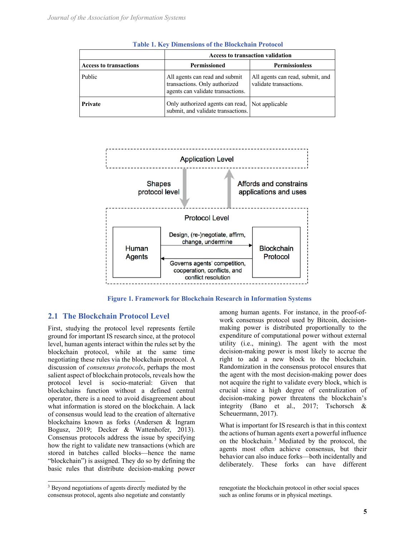|                               | <b>Access to transaction validation</b>                                                              |                                                            |
|-------------------------------|------------------------------------------------------------------------------------------------------|------------------------------------------------------------|
| <b>Access to transactions</b> | <b>Permissioned</b>                                                                                  | <b>Permissionless</b>                                      |
| Public                        | All agents can read and submit<br>transactions. Only authorized<br>agents can validate transactions. | All agents can read, submit, and<br>validate transactions. |
| Private                       | Only authorized agents can read, Not applicable<br>submit, and validate transactions.                |                                                            |

**Table 1. Key Dimensions of the Blockchain Protocol**



**Figure 1. Framework for Blockchain Research in Information Systems**

#### **2.1 The Blockchain Protocol Level**

First, studying the protocol level represents fertile ground for important IS research since, at the protocol level, human agents interact within the rules set by the blockchain protocol, while at the same time negotiating these rules via the blockchain protocol. A discussion of *consensus protocols*, perhaps the most salient aspect of blockchain protocols, reveals how the protocol level is socio-material: Given that blockchains function without a defined central operator, there is a need to avoid disagreement about what information is stored on the blockchain. A lack of consensus would lead to the creation of alternative blockchains known as forks (Andersen & Ingram Bogusz, 2019; Decker & Wattenhofer, 2013). Consensus protocols address the issue by specifying how the right to validate new transactions (which are stored in batches called blocks—hence the name "blockchain") is assigned. They do so by defining the basic rules that distribute decision-making power among human agents. For instance, in the proof-ofwork consensus protocol used by Bitcoin, decisionmaking power is distributed proportionally to the expenditure of computational power without external utility (i.e., mining). The agent with the most decision-making power is most likely to accrue the right to add a new block to the blockchain. Randomization in the consensus protocol ensures that the agent with the most decision-making power does not acquire the right to validate every block, which is crucial since a high degree of centralization of decision-making power threatens the blockchain's integrity (Bano et al., 2017; Tschorsch & Scheuermann, 2017).

What is important for IS research is that in this context the actions of human agents exert a powerful influence on the blockchain. <sup>3</sup> Mediated by the protocol, the agents most often achieve consensus, but their behavior can also induce forks—both incidentally and deliberately. These forks can have different

<sup>&</sup>lt;sup>3</sup> Beyond negotiations of agents directly mediated by the consensus protocol, agents also negotiate and constantly

renegotiate the blockchain protocol in other social spaces such as online forums or in physical meetings.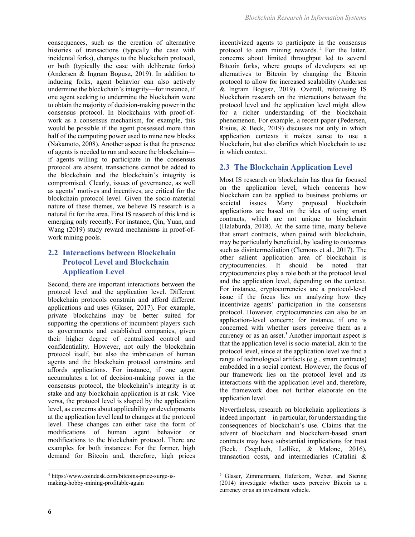consequences, such as the creation of alternative histories of transactions (typically the case with incidental forks), changes to the blockchain protocol, or both (typically the case with deliberate forks) (Andersen & Ingram Bogusz, 2019). In addition to inducing forks, agent behavior can also actively undermine the blockchain's integrity—for instance, if one agent seeking to undermine the blockchain were to obtain the majority of decision-making power in the consensus protocol. In blockchains with proof-ofwork as a consensus mechanism, for example, this would be possible if the agent possessed more than half of the computing power used to mine new blocks (Nakamoto, 2008). Another aspect is that the presence of agents is needed to run and secure the blockchain if agents willing to participate in the consensus protocol are absent, transactions cannot be added to the blockchain and the blockchain's integrity is compromised. Clearly, issues of governance, as well as agents' motives and incentives, are critical for the blockchain protocol level. Given the socio-material nature of these themes, we believe IS research is a natural fit for the area. First IS research of this kind is emerging only recently. For instance, Qin, Yuan, and Wang (2019) study reward mechanisms in proof-ofwork mining pools.

## **2.2 Interactions between Blockchain Protocol Level and Blockchain Application Level**

Second, there are important interactions between the protocol level and the application level. Different blockchain protocols constrain and afford different applications and uses (Glaser, 2017). For example, private blockchains may be better suited for supporting the operations of incumbent players such as governments and established companies, given their higher degree of centralized control and confidentiality. However, not only the blockchain protocol itself, but also the imbrication of human agents and the blockchain protocol constrains and affords applications. For instance, if one agent accumulates a lot of decision-making power in the consensus protocol, the blockchain's integrity is at stake and any blockchain application is at risk. Vice versa, the protocol level is shaped by the application level, as concerns about applicability or developments at the application level lead to changes at the protocol level. These changes can either take the form of modifications of human agent behavior or modifications to the blockchain protocol. There are examples for both instances: For the former, high demand for Bitcoin and, therefore, high prices

incentivized agents to participate in the consensus protocol to earn mining rewards.<sup>4</sup> For the latter, concerns about limited throughput led to several Bitcoin forks, where groups of developers set up alternatives to Bitcoin by changing the Bitcoin protocol to allow for increased scalability (Andersen & Ingram Bogusz, 2019). Overall, refocusing IS blockchain research on the interactions between the protocol level and the application level might allow for a richer understanding of the blockchain phenomenon. For example, a recent paper (Pedersen, Risius, & Beck, 2019) discusses not only in which application contexts it makes sense to use a blockchain, but also clarifies which blockchain to use in which context.

### **2.3 The Blockchain Application Level**

Most IS research on blockchain has thus far focused on the application level, which concerns how blockchain can be applied to business problems or societal issues. Many proposed blockchain applications are based on the idea of using smart contracts, which are not unique to blockchain (Halaburda, 2018). At the same time, many believe that smart contracts, when paired with blockchain, may be particularly beneficial, by leading to outcomes such as disintermediation (Clemons et al., 2017). The other salient application area of blockchain is cryptocurrencies. It should be noted that cryptocurrencies play a role both at the protocol level and the application level, depending on the context. For instance, cryptocurrencies are a protocol-level issue if the focus lies on analyzing how they incentivize agents' participation in the consensus protocol. However, cryptocurrencies can also be an application-level concern; for instance, if one is concerned with whether users perceive them as a currency or as an asset.<sup>5</sup> Another important aspect is that the application level is socio-material, akin to the protocol level, since at the application level we find a range of technological artifacts (e.g., smart contracts) embedded in a social context. However, the focus of our framework lies on the protocol level and its interactions with the application level and, therefore, the framework does not further elaborate on the application level.

Nevertheless, research on blockchain applications is indeed important—in particular, for understanding the consequences of blockchain's use. Claims that the advent of blockchain and blockchain-based smart contracts may have substantial implications for trust (Beck, Czepluch, Lollike, & Malone, 2016), transaction costs, and intermediaries (Catalini &

<sup>4</sup> https://www.coindesk.com/bitcoins-price-surge-ismaking-hobby-mining-profitable-again

<sup>5</sup> Glaser, Zimmermann, Haferkorn, Weber, and Siering (2014) investigate whether users perceive Bitcoin as a currency or as an investment vehicle.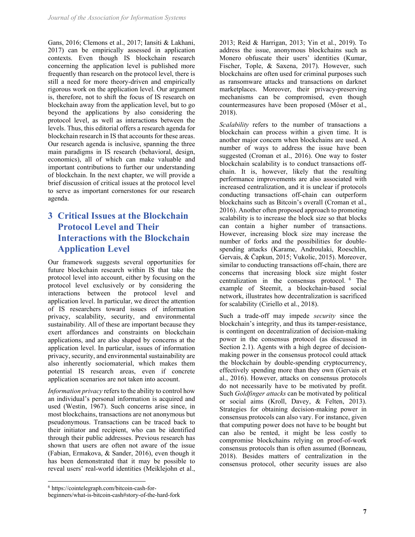Gans, 2016; Clemons et al., 2017; Iansiti & Lakhani, 2017) can be empirically assessed in application contexts. Even though IS blockchain research concerning the application level is published more frequently than research on the protocol level, there is still a need for more theory-driven and empirically rigorous work on the application level. Our argument is, therefore, not to shift the focus of IS research on blockchain away from the application level, but to go beyond the applications by also considering the protocol level, as well as interactions between the levels. Thus, this editorial offers a research agenda for blockchain research in IS that accounts for these areas. Our research agenda is inclusive, spanning the three main paradigms in IS research (behavioral, design, economics), all of which can make valuable and important contributions to further our understanding of blockchain. In the next chapter, we will provide a brief discussion of critical issues at the protocol level to serve as important cornerstones for our research agenda.

## **3 Critical Issues at the Blockchain Protocol Level and Their Interactions with the Blockchain Application Level**

Our framework suggests several opportunities for future blockchain research within IS that take the protocol level into account, either by focusing on the protocol level exclusively or by considering the interactions between the protocol level and application level. In particular, we direct the attention of IS researchers toward issues of information privacy, scalability, security, and environmental sustainability. All of these are important because they exert affordances and constraints on blockchain applications, and are also shaped by concerns at the application level. In particular, issues of information privacy, security, and environmental sustainability are also inherently sociomaterial, which makes them potential IS research areas, even if concrete application scenarios are not taken into account.

*Information privacy* refers to the ability to control how an individual's personal information is acquired and used (Westin, 1967). Such concerns arise since, in most blockchains, transactions are not anonymous but pseudonymous. Transactions can be traced back to their initiator and recipient, who can be identified through their public addresses. Previous research has shown that users are often not aware of the issue (Fabian, Ermakova, & Sander, 2016), even though it has been demonstrated that it may be possible to reveal users' real-world identities (Meiklejohn et al.,

2013; Reid & Harrigan, 2013; Yin et al., 2019). To address the issue, anonymous blockchains such as Monero obfuscate their users' identities (Kumar, Fischer, Tople, & Saxena, 2017). However, such blockchains are often used for criminal purposes such as ransomware attacks and transactions on darknet marketplaces. Moreover, their privacy-preserving mechanisms can be compromised, even though countermeasures have been proposed (Möser et al., 2018).

*Scalability* refers to the number of transactions a blockchain can process within a given time. It is another major concern when blockchains are used. A number of ways to address the issue have been suggested (Croman et al., 2016). One way to foster blockchain scalability is to conduct transactions offchain. It is, however, likely that the resulting performance improvements are also associated with increased centralization, and it is unclear if protocols conducting transactions off-chain can outperform blockchains such as Bitcoin's overall (Croman et al., 2016). Another often proposed approach to promoting scalability is to increase the block size so that blocks can contain a higher number of transactions. However, increasing block size may increase the number of forks and the possibilities for doublespending attacks (Karame, Androulaki, Roeschlin, Gervais, & Čapkun, 2015; Vukolic, 2015). Moreover, similar to conducting transactions off-chain, there are concerns that increasing block size might foster centralization in the consensus protocol. <sup>6</sup> The example of Steemit, a blockchain-based social network, illustrates how decentralization is sacrificed for scalability (Ciriello et al., 2018).

Such a trade-off may impede *security* since the blockchain's integrity, and thus its tamper-resistance, is contingent on decentralization of decision-making power in the consensus protocol (as discussed in Section 2.1). Agents with a high degree of decisionmaking power in the consensus protocol could attack the blockchain by double-spending cryptocurrency, effectively spending more than they own (Gervais et al., 2016). However, attacks on consensus protocols do not necessarily have to be motivated by profit. Such *Goldfinger attacks* can be motivated by political or social aims (Kroll, Davey, & Felten, 2013). Strategies for obtaining decision-making power in consensus protocols can also vary. For instance, given that computing power does not have to be bought but can also be rented, it might be less costly to compromise blockchains relying on proof-of-work consensus protocols than is often assumed (Bonneau, 2018). Besides matters of centralization in the consensus protocol, other security issues are also

<sup>6</sup> https://cointelegraph.com/bitcoin-cash-for-

beginners/what-is-bitcoin-cash#story-of-the-hard-fork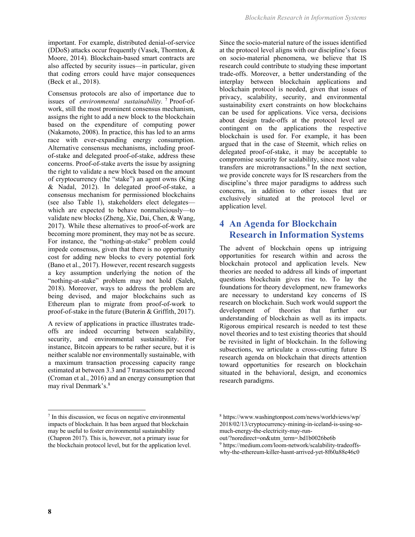important. For example, distributed denial-of-service (DDoS) attacks occur frequently (Vasek, Thornton, & Moore, 2014). Blockchain-based smart contracts are also affected by security issues—in particular, given that coding errors could have major consequences (Beck et al., 2018).

Consensus protocols are also of importance due to issues of *environmental sustainability.* <sup>7</sup> Proof-ofwork, still the most prominent consensus mechanism, assigns the right to add a new block to the blockchain based on the expenditure of computing power (Nakamoto, 2008). In practice, this has led to an arms race with ever-expanding energy consumption. Alternative consensus mechanisms, including proofof-stake and delegated proof-of-stake, address these concerns. Proof-of-stake averts the issue by assigning the right to validate a new block based on the amount of cryptocurrency (the "stake") an agent owns (King & Nadal, 2012). In delegated proof-of-stake, a consensus mechanism for permissioned blockchains (see also Table 1), stakeholders elect delegates which are expected to behave nonmaliciously—to validate new blocks (Zheng, Xie, Dai, Chen, & Wang, 2017). While these alternatives to proof-of-work are becoming more prominent, they may not be as secure. For instance, the "nothing-at-stake" problem could impede consensus, given that there is no opportunity cost for adding new blocks to every potential fork (Bano et al., 2017). However, recent research suggests a key assumption underlying the notion of the "nothing-at-stake" problem may not hold (Saleh, 2018). Moreover, ways to address the problem are being devised, and major blockchains such as Ethereum plan to migrate from proof-of-work to proof-of-stake in the future (Buterin & Griffith, 2017).

A review of applications in practice illustrates tradeoffs are indeed occurring between scalability, security, and environmental sustainability. For instance, Bitcoin appears to be rather secure, but it is neither scalable nor environmentally sustainable, with a maximum transaction processing capacity range estimated at between 3.3 and 7 transactions per second (Croman et al., 2016) and an energy consumption that may rival Denmark's. 8

<sup>7</sup> In this discussion, we focus on negative environmental impacts of blockchain. It has been argued that blockchain may be useful to foster environmental sustainability (Chapron 2017). This is, however, not a primary issue for the blockchain protocol level, but for the application level. Since the socio-material nature of the issues identified at the protocol level aligns with our discipline's focus on socio-material phenomena, we believe that IS research could contribute to studying these important trade-offs. Moreover, a better understanding of the interplay between blockchain applications and blockchain protocol is needed, given that issues of privacy, scalability, security, and environmental sustainability exert constraints on how blockchains can be used for applications. Vice versa, decisions about design trade-offs at the protocol level are contingent on the applications the respective blockchain is used for. For example, it has been argued that in the case of Steemit, which relies on delegated proof-of-stake, it may be acceptable to compromise security for scalability, since most value transfers are microtransactions. <sup>9</sup> In the next section, we provide concrete ways for IS researchers from the discipline's three major paradigms to address such concerns, in addition to other issues that are exclusively situated at the protocol level or application level.

## **4 An Agenda for Blockchain Research in Information Systems**

The advent of blockchain opens up intriguing opportunities for research within and across the blockchain protocol and application levels. New theories are needed to address all kinds of important questions blockchain gives rise to. To lay the foundations for theory development, new frameworks are necessary to understand key concerns of IS research on blockchain. Such work would support the development of theories that further our understanding of blockchain as well as its impacts. Rigorous empirical research is needed to test these novel theories and to test existing theories that should be revisited in light of blockchain. In the following subsections, we articulate a cross-cutting future IS research agenda on blockchain that directs attention toward opportunities for research on blockchain situated in the behavioral, design, and economics research paradigms.

out/?noredirect=on&utm\_term=.bd1b0026be6b

<sup>9</sup> https://medium.com/loom-network/scalability-tradeoffswhy-the-ethereum-killer-hasnt-arrived-yet-8f60a88e46c0

<sup>8</sup> https://www.washingtonpost.com/news/worldviews/wp/ 2018/02/13/cryptocurrency-mining-in-iceland-is-using-somuch-energy-the-electricity-may-run-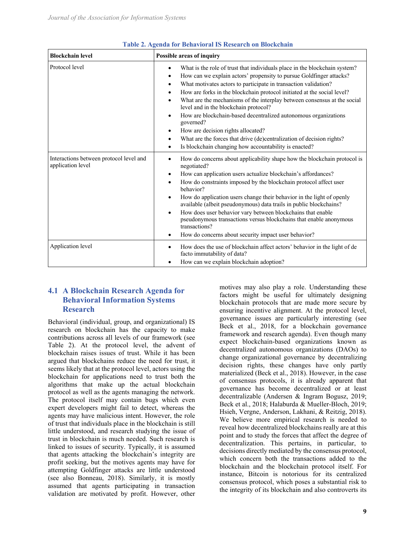| <b>Blockchain level</b>                                      | Possible areas of inquiry                                                                                                                                                                                                                                                                                                                                                                                                                                                                                                                                                                                                                                                                                                                                                                 |  |
|--------------------------------------------------------------|-------------------------------------------------------------------------------------------------------------------------------------------------------------------------------------------------------------------------------------------------------------------------------------------------------------------------------------------------------------------------------------------------------------------------------------------------------------------------------------------------------------------------------------------------------------------------------------------------------------------------------------------------------------------------------------------------------------------------------------------------------------------------------------------|--|
| Protocol level                                               | What is the role of trust that individuals place in the blockchain system?<br>$\bullet$<br>How can we explain actors' propensity to pursue Goldfinger attacks?<br>$\bullet$<br>What motivates actors to participate in transaction validation?<br>$\bullet$<br>How are forks in the blockchain protocol initiated at the social level?<br>$\bullet$<br>What are the mechanisms of the interplay between consensus at the social<br>$\bullet$<br>level and in the blockchain protocol?<br>How are blockchain-based decentralized autonomous organizations<br>$\bullet$<br>governed?<br>How are decision rights allocated?<br>٠<br>What are the forces that drive (de)centralization of decision rights?<br>$\bullet$<br>Is blockchain changing how accountability is enacted?<br>$\bullet$ |  |
| Interactions between protocol level and<br>application level | How do concerns about applicability shape how the blockchain protocol is<br>$\bullet$<br>negotiated?<br>How can application users actualize blockchain's affordances?<br>$\bullet$<br>How do constraints imposed by the blockchain protocol affect user<br>$\bullet$<br>behavior?<br>How do application users change their behavior in the light of openly<br>$\bullet$<br>available (albeit pseudonymous) data trails in public blockchains?<br>How does user behavior vary between blockchains that enable<br>$\bullet$<br>pseudonymous transactions versus blockchains that enable anonymous<br>transactions?<br>How do concerns about security impact user behavior?<br>$\bullet$                                                                                                     |  |
| Application level                                            | How does the use of blockchain affect actors' behavior in the light of de<br>$\bullet$<br>facto immutability of data?<br>How can we explain blockchain adoption?<br>$\bullet$                                                                                                                                                                                                                                                                                                                                                                                                                                                                                                                                                                                                             |  |

#### **Table 2. Agenda for Behavioral IS Research on Blockchain**

### **4.1 A Blockchain Research Agenda for Behavioral Information Systems Research**

Behavioral (individual, group, and organizational) IS research on blockchain has the capacity to make contributions across all levels of our framework (see Table 2). At the protocol level, the advent of blockchain raises issues of trust. While it has been argued that blockchains reduce the need for trust, it seems likely that at the protocol level, actors using the blockchain for applications need to trust both the algorithms that make up the actual blockchain protocol as well as the agents managing the network. The protocol itself may contain bugs which even expert developers might fail to detect, whereas the agents may have malicious intent. However, the role of trust that individuals place in the blockchain is still little understood, and research studying the issue of trust in blockchain is much needed. Such research is linked to issues of security. Typically, it is assumed that agents attacking the blockchain's integrity are profit seeking, but the motives agents may have for attempting Goldfinger attacks are little understood (see also Bonneau, 2018). Similarly, it is mostly assumed that agents participating in transaction validation are motivated by profit. However, other

motives may also play a role. Understanding these factors might be useful for ultimately designing blockchain protocols that are made more secure by ensuring incentive alignment. At the protocol level, governance issues are particularly interesting (see Beck et al., 2018, for a blockchain governance framework and research agenda). Even though many expect blockchain-based organizations known as decentralized autonomous organizations (DAOs) to change organizational governance by decentralizing decision rights, these changes have only partly materialized (Beck et al., 2018). However, in the case of consensus protocols, it is already apparent that governance has become decentralized or at least decentralizable (Andersen & Ingram Bogusz, 2019; Beck et al., 2018; Halaburda & Mueller-Bloch, 2019; Hsieh, Vergne, Anderson, Lakhani, & Reitzig, 2018). We believe more empirical research is needed to reveal how decentralized blockchains really are at this point and to study the forces that affect the degree of decentralization. This pertains, in particular, to decisions directly mediated by the consensus protocol, which concern both the transactions added to the blockchain and the blockchain protocol itself. For instance, Bitcoin is notorious for its centralized consensus protocol, which poses a substantial risk to the integrity of its blockchain and also controverts its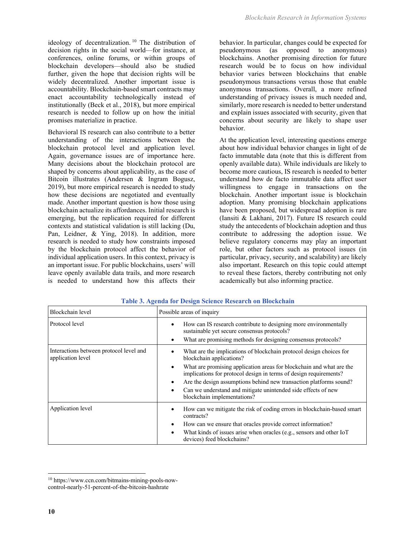ideology of decentralization. <sup>10</sup> The distribution of decision rights in the social world—for instance, at conferences, online forums, or within groups of blockchain developers—should also be studied further, given the hope that decision rights will be widely decentralized. Another important issue is accountability. Blockchain-based smart contracts may enact accountability technologically instead of institutionally (Beck et al., 2018), but more empirical research is needed to follow up on how the initial promises materialize in practice.

Behavioral IS research can also contribute to a better understanding of the interactions between the blockchain protocol level and application level. Again, governance issues are of importance here. Many decisions about the blockchain protocol are shaped by concerns about applicability, as the case of Bitcoin illustrates (Andersen & Ingram Bogusz, 2019), but more empirical research is needed to study how these decisions are negotiated and eventually made. Another important question is how those using blockchain actualize its affordances. Initial research is emerging, but the replication required for different contexts and statistical validation is still lacking (Du, Pan, Leidner, & Ying, 2018). In addition, more research is needed to study how constraints imposed by the blockchain protocol affect the behavior of individual application users. In this context, privacy is an important issue. For public blockchains, users' will leave openly available data trails, and more research is needed to understand how this affects their

behavior. In particular, changes could be expected for pseudonymous (as opposed to anonymous) blockchains. Another promising direction for future research would be to focus on how individual behavior varies between blockchains that enable pseudonymous transactions versus those that enable anonymous transactions. Overall, a more refined understanding of privacy issues is much needed and, similarly, more research is needed to better understand and explain issues associated with security, given that concerns about security are likely to shape user behavior.

At the application level, interesting questions emerge about how individual behavior changes in light of de facto immutable data (note that this is different from openly available data). While individuals are likely to become more cautious, IS research is needed to better understand how de facto immutable data affect user willingness to engage in transactions on the blockchain. Another important issue is blockchain adoption. Many promising blockchain applications have been proposed, but widespread adoption is rare (Iansiti & Lakhani, 2017). Future IS research could study the antecedents of blockchain adoption and thus contribute to addressing the adoption issue. We believe regulatory concerns may play an important role, but other factors such as protocol issues (in particular, privacy, security, and scalability) are likely also important. Research on this topic could attempt to reveal these factors, thereby contributing not only academically but also informing practice.

| Blockchain level                                             | Possible areas of inquiry                                                                                                                                                                                                                                                                                                                                                                                                                         |  |
|--------------------------------------------------------------|---------------------------------------------------------------------------------------------------------------------------------------------------------------------------------------------------------------------------------------------------------------------------------------------------------------------------------------------------------------------------------------------------------------------------------------------------|--|
| Protocol level                                               | How can IS research contribute to designing more environmentally<br>$\bullet$<br>sustainable yet secure consensus protocols?<br>What are promising methods for designing consensus protocols?<br>٠                                                                                                                                                                                                                                                |  |
| Interactions between protocol level and<br>application level | What are the implications of blockchain protocol design choices for<br>blockchain applications?<br>What are promising application areas for blockchain and what are the<br>$\bullet$<br>implications for protocol design in terms of design requirements?<br>Are the design assumptions behind new transaction platforms sound?<br>٠<br>Can we understand and mitigate unintended side effects of new<br>$\bullet$<br>blockchain implementations? |  |
| Application level                                            | How can we mitigate the risk of coding errors in blockchain-based smart<br>٠<br>contracts?<br>How can we ensure that oracles provide correct information?<br>$\bullet$<br>What kinds of issues arise when oracles (e.g., sensors and other IoT<br>$\bullet$<br>devices) feed blockchains?                                                                                                                                                         |  |

**Table 3. Agenda for Design Science Research on Blockchain**

<sup>10</sup> https://www.ccn.com/bitmains-mining-pools-nowcontrol-nearly-51-percent-of-the-bitcoin-hashrate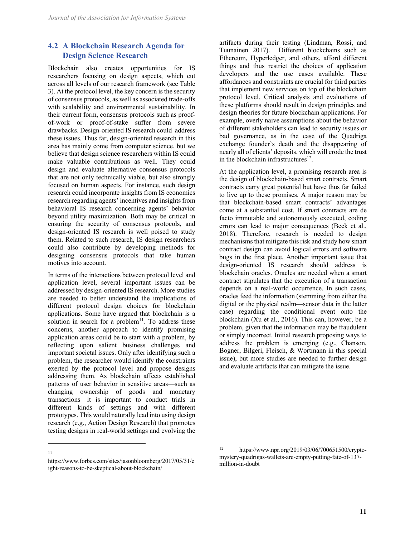### **4.2 A Blockchain Research Agenda for Design Science Research**

Blockchain also creates opportunities for IS researchers focusing on design aspects, which cut across all levels of our research framework (see Table 3). At the protocol level, the key concern is the security of consensus protocols, as well as associated trade-offs with scalability and environmental sustainability. In their current form, consensus protocols such as proofof-work or proof-of-stake suffer from severe drawbacks. Design-oriented IS research could address these issues. Thus far, design-oriented research in this area has mainly come from computer science, but we believe that design science researchers within IS could make valuable contributions as well. They could design and evaluate alternative consensus protocols that are not only technically viable, but also strongly focused on human aspects. For instance, such design research could incorporate insights from IS economics research regarding agents' incentives and insights from behavioral IS research concerning agents' behavior beyond utility maximization. Both may be critical in ensuring the security of consensus protocols, and design-oriented IS research is well poised to study them. Related to such research, IS design researchers could also contribute by developing methods for designing consensus protocols that take human motives into account.

In terms of the interactions between protocol level and application level, several important issues can be addressed by design-oriented IS research. More studies are needed to better understand the implications of different protocol design choices for blockchain applications. Some have argued that blockchain is a solution in search for a problem<sup>11</sup>. To address these concerns, another approach to identify promising application areas could be to start with a problem, by reflecting upon salient business challenges and important societal issues. Only after identifying such a problem, the researcher would identify the constraints exerted by the protocol level and propose designs addressing them. As blockchain affects established patterns of user behavior in sensitive areas—such as changing ownership of goods and monetary transactions—it is important to conduct trials in different kinds of settings and with different prototypes. This would naturally lead into using design research (e.g., Action Design Research) that promotes testing designs in real-world settings and evolving the

artifacts during their testing (Lindman, Rossi, and Tuunainen 2017). Different blockchains such as Ethereum, Hyperledger, and others, afford different things and thus restrict the choices of application developers and the use cases available. These affordances and constraints are crucial for third parties that implement new services on top of the blockchain protocol level. Critical analysis and evaluations of these platforms should result in design principles and design theories for future blockchain applications. For example, overly naive assumptions about the behavior of different stakeholders can lead to security issues or bad governance, as in the case of the Quadriga exchange founder's death and the disappearing of nearly all of clients' deposits, which will erode the trust in the blockchain infrastructures $12$ .

At the application level, a promising research area is the design of blockchain-based smart contracts. Smart contracts carry great potential but have thus far failed to live up to these promises. A major reason may be that blockchain-based smart contracts' advantages come at a substantial cost. If smart contracts are de facto immutable and autonomously executed, coding errors can lead to major consequences (Beck et al., 2018). Therefore, research is needed to design mechanisms that mitigate this risk and study how smart contract design can avoid logical errors and software bugs in the first place. Another important issue that design-oriented IS research should address is blockchain oracles. Oracles are needed when a smart contract stipulates that the execution of a transaction depends on a real-world occurrence. In such cases, oracles feed the information (stemming from either the digital or the physical realm—sensor data in the latter case) regarding the conditional event onto the blockchain (Xu et al., 2016). This can, however, be a problem, given that the information may be fraudulent or simply incorrect. Initial research proposing ways to address the problem is emerging (e.g., Chanson, Bogner, Bilgeri, Fleisch, & Wortmann in this special issue), but more studies are needed to further design and evaluate artifacts that can mitigate the issue.

<sup>11</sup>

https://www.forbes.com/sites/jasonbloomberg/2017/05/31/e ight-reasons-to-be-skeptical-about-blockchain/

<sup>12</sup> https://www.npr.org/2019/03/06/700651500/cryptomystery-quadrigas-wallets-are-empty-putting-fate-of-137 million-in-doubt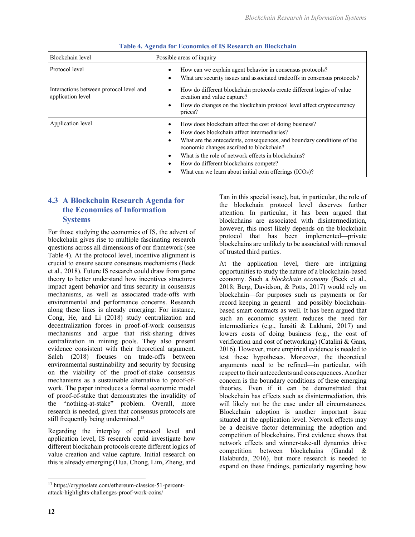| Blockchain level                                             | Possible areas of inquiry                                                                                                                                                                                                                                                                                                                                                                              |
|--------------------------------------------------------------|--------------------------------------------------------------------------------------------------------------------------------------------------------------------------------------------------------------------------------------------------------------------------------------------------------------------------------------------------------------------------------------------------------|
| Protocol level                                               | How can we explain agent behavior in consensus protocols?<br>$\bullet$<br>What are security issues and associated tradeoffs in consensus protocols?<br>٠                                                                                                                                                                                                                                               |
| Interactions between protocol level and<br>application level | How do different blockchain protocols create different logics of value<br>creation and value capture?<br>How do changes on the blockchain protocol level affect cryptocurrency<br>$\bullet$<br>prices?                                                                                                                                                                                                 |
| Application level                                            | How does blockchain affect the cost of doing business?<br>How does blockchain affect intermediaries?<br>What are the antecedents, consequences, and boundary conditions of the<br>$\bullet$<br>economic changes ascribed to blockchain?<br>What is the role of network effects in blockchains?<br>How do different blockchains compete?<br>٠<br>What can we learn about initial coin offerings (ICOs)? |

#### **Table 4. Agenda for Economics of IS Research on Blockchain**

### **4.3 A Blockchain Research Agenda for the Economics of Information Systems**

For those studying the economics of IS, the advent of blockchain gives rise to multiple fascinating research questions across all dimensions of our framework (see Table 4). At the protocol level, incentive alignment is crucial to ensure secure consensus mechanisms (Beck et al., 2018). Future IS research could draw from game theory to better understand how incentives structures impact agent behavior and thus security in consensus mechanisms, as well as associated trade-offs with environmental and performance concerns. Research along these lines is already emerging: For instance, Cong, He, and Li (2018) study centralization and decentralization forces in proof-of-work consensus mechanisms and argue that risk-sharing drives centralization in mining pools. They also present evidence consistent with their theoretical argument. Saleh (2018) focuses on trade-offs between environmental sustainability and security by focusing on the viability of the proof-of-stake consensus mechanisms as a sustainable alternative to proof-ofwork. The paper introduces a formal economic model of proof-of-stake that demonstrates the invalidity of the "nothing-at-stake" problem. Overall, more research is needed, given that consensus protocols are still frequently being undermined.<sup>13</sup>

Regarding the interplay of protocol level and application level, IS research could investigate how different blockchain protocols create different logics of value creation and value capture. Initial research on this is already emerging (Hua, Chong, Lim, Zheng, and

Tan in this special issue), but, in particular, the role of the blockchain protocol level deserves further attention. In particular, it has been argued that blockchains are associated with disintermediation, however, this most likely depends on the blockchain protocol that has been implemented—private blockchains are unlikely to be associated with removal of trusted third parties.

At the application level, there are intriguing opportunities to study the nature of a blockchain-based economy. Such a *blockchain economy* (Beck et al., 2018; Berg, Davidson, & Potts, 2017) would rely on blockchain—for purposes such as payments or for record keeping in general—and possibly blockchainbased smart contracts as well. It has been argued that such an economic system reduces the need for intermediaries (e.g., Iansiti & Lakhani, 2017) and lowers costs of doing business (e.g., the cost of verification and cost of networking) (Catalini & Gans, 2016). However, more empirical evidence is needed to test these hypotheses. Moreover, the theoretical arguments need to be refined—in particular, with respect to their antecedents and consequences. Another concern is the boundary conditions of these emerging theories. Even if it can be demonstrated that blockchain has effects such as disintermediation, this will likely not be the case under all circumstances. Blockchain adoption is another important issue situated at the application level. Network effects may be a decisive factor determining the adoption and competition of blockchains. First evidence shows that network effects and winner-take-all dynamics drive competition between blockchains (Gandal & Halaburda, 2016), but more research is needed to expand on these findings, particularly regarding how

<sup>13</sup> https://cryptoslate.com/ethereum-classics-51-percentattack-highlights-challenges-proof-work-coins/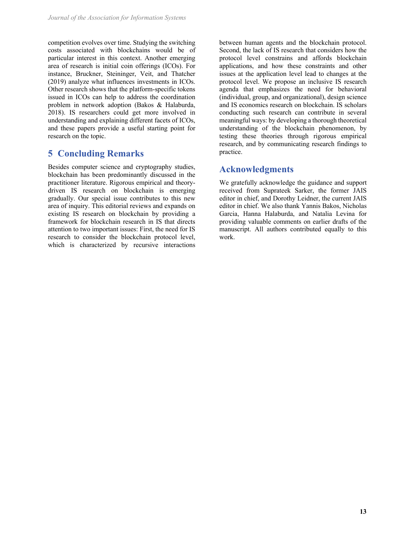competition evolves over time. Studying the switching costs associated with blockchains would be of particular interest in this context. Another emerging area of research is initial coin offerings (ICOs). For instance, Bruckner, Steininger, Veit, and Thatcher (2019) analyze what influences investments in ICOs. Other research shows that the platform-specific tokens issued in ICOs can help to address the coordination problem in network adoption (Bakos & Halaburda, 2018). IS researchers could get more involved in understanding and explaining different facets of ICOs, and these papers provide a useful starting point for research on the topic.

## **5 Concluding Remarks**

Besides computer science and cryptography studies, blockchain has been predominantly discussed in the practitioner literature. Rigorous empirical and theorydriven IS research on blockchain is emerging gradually. Our special issue contributes to this new area of inquiry. This editorial reviews and expands on existing IS research on blockchain by providing a framework for blockchain research in IS that directs attention to two important issues: First, the need for IS research to consider the blockchain protocol level, which is characterized by recursive interactions

between human agents and the blockchain protocol. Second, the lack of IS research that considers how the protocol level constrains and affords blockchain applications, and how these constraints and other issues at the application level lead to changes at the protocol level. We propose an inclusive IS research agenda that emphasizes the need for behavioral (individual, group, and organizational), design science and IS economics research on blockchain. IS scholars conducting such research can contribute in several meaningful ways: by developing a thorough theoretical understanding of the blockchain phenomenon, by testing these theories through rigorous empirical research, and by communicating research findings to practice.

## **Acknowledgments**

We gratefully acknowledge the guidance and support received from Suprateek Sarker, the former JAIS editor in chief, and Dorothy Leidner, the current JAIS editor in chief. We also thank Yannis Bakos, Nicholas Garcia, Hanna Halaburda, and Natalia Levina for providing valuable comments on earlier drafts of the manuscript. All authors contributed equally to this work.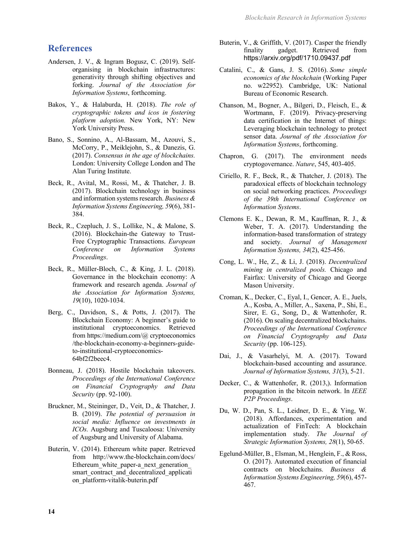### **References**

- Andersen, J. V., & Ingram Bogusz, C. (2019). Selforganising in blockchain infrastructures: generativity through shifting objectives and forking. *Journal of the Association for Information Systems*, forthcoming.
- Bakos, Y., & Halaburda, H. (2018). *The role of cryptographic tokens and icos in fostering platform adoption.* New York, NY: New York University Press.
- Bano, S., Sonnino, A., Al-Bassam, M., Azouvi, S., McCorry, P., Meiklejohn, S., & Danezis, G. (2017). *Consensus in the age of blockchains.* London: University College London and The Alan Turing Institute.
- Beck, R., Avital, M., Rossi, M., & Thatcher, J. B. (2017). Blockchain technology in business and information systems research. *Business & Information Systems Engineering, 59*(6), 381- 384.
- Beck, R., Czepluch, J. S., Lollike, N., & Malone, S. (2016). Blockchain-the Gateway to Trust-Free Cryptographic Transactions. *European Conference on Information Systems Proceedings*.
- Beck, R., Müller-Bloch, C., & King, J. L. (2018). Governance in the blockchain economy: A framework and research agenda. *Journal of the Association for Information Systems, 19*(10), 1020-1034.
- Berg, C., Davidson, S., & Potts, J. (2017). The Blockchain Economy: A beginner's guide to institutional cryptoeconomics. Retrieved from https://medium.com/@ cryptoeconomics /the-blockchain-economy-a-beginners-guideto-institutional-cryptoeconomics-64bf2f2beec4.
- Bonneau, J. (2018). Hostile blockchain takeovers. *Proceedings of the International Conference on Financial Cryptography and Data Security* (pp. 92-100).
- Bruckner, M., Steininger, D., Veit, D., & Thatcher, J. B. (2019). *The potential of persuasion in social media: Influence on investments in ICOs.* Augsburg and Tuscaloosa: University of Augsburg and University of Alabama.
- Buterin, V. (2014). Ethereum white paper. Retrieved from http://www.the-blockchain.com/docs/ Ethereum white paper-a next generation smart contract and decentralized applicati on\_platform-vitalik-buterin.pdf
- Buterin, V., & Griffith, V. (2017). Casper the friendly finality gadget. Retrieved from https://arxiv.org/pdf/1710.09437.pdf
- Catalini, C., & Gans, J. S. (2016). *Some simple economics of the blockchain* (Working Paper no. w22952). Cambridge, UK: National Bureau of Economic Research.
- Chanson, M., Bogner, A., Bilgeri, D., Fleisch, E., & Wortmann, F. (2019). Privacy-preserving data certification in the Internet of things: Leveraging blockchain technology to protect sensor data. *Journal of the Association for Information Systems*, forthcoming.
- Chapron, G. (2017). The environment needs cryptogovernance. *Nature*, 545, 403-405.
- Ciriello, R. F., Beck, R., & Thatcher, J. (2018). The paradoxical effects of blockchain technology on social networking practices. *Proceedings of the 39th International Conference on Information Systems*.
- Clemons E. K., Dewan, R. M., Kauffman, R. J., & Weber, T. A. (2017). Understanding the information-based transformation of strategy and society. *Journal of Management Information Systems, 34*(2), 425-456.
- Cong, L. W., He, Z., & Li, J. (2018). *Decentralized mining in centralized pools.* Chicago and Fairfax: University of Chicago and George Mason University.
- Croman, K., Decker, C., Eyal, I., Gencer, A. E., Juels, A., Kosba, A., Miller, A., Saxena, P., Shi, E., Sirer, E. G., Song, D., & Wattenhofer, R. (2016). On scaling decentralized blockchains. *Proceedings of the International Conference on Financial Cryptography and Data Security* (pp. 106-125).
- Dai, J., & Vasarhelyi, M. A. (2017). Toward blockchain-based accounting and assurance. *Journal of Information Systems, 31*(3), 5-21.
- Decker, C., & Wattenhofer, R. (2013,). Information propagation in the bitcoin network. In *IEEE P2P Proceedings*.
- Du, W. D., Pan, S. L., Leidner, D. E., & Ying, W. (2018). Affordances, experimentation and actualization of FinTech: A blockchain implementation study. *The Journal of Strategic Information Systems, 28*(1), 50-65.
- Egelund-Müller, B., Elsman, M., Henglein, F., & Ross, O. (2017). Automated execution of financial contracts on blockchains. *Business & Information Systems Engineering, 59*(6), 457- 467.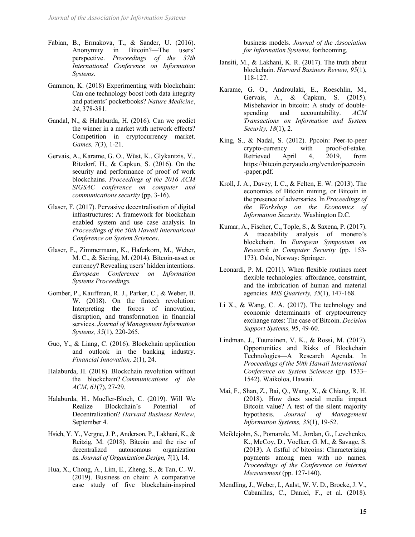- Fabian, B., Ermakova, T., & Sander, U. (2016). Anonymity in Bitcoin?—The users' perspective. *Proceedings of the 37th International Conference on Information Systems*.
- Gammon, K. (2018) Experimenting with blockchain: Can one technology boost both data integrity and patients' pocketbooks? *Nature Medicine*, *24*, 378-381.
- Gandal, N., & Halaburda, H. (2016). Can we predict the winner in a market with network effects? Competition in cryptocurrency market. *Games, 7*(3), 1-21.
- Gervais, A., Karame, G. O., Wüst, K., Glykantzis, V., Ritzdorf, H., & Capkun, S. (2016). On the security and performance of proof of work blockchains. *Proceedings of the 2016 ACM SIGSAC conference on computer and communications security* (pp. 3-16).
- Glaser, F. (2017). Pervasive decentralisation of digital infrastructures: A framework for blockchain enabled system and use case analysis. In *Proceedings of the 50th Hawaii International Conference on System Sciences*.
- Glaser, F., Zimmermann, K., Haferkorn, M., Weber, M. C., & Siering, M. (2014). Bitcoin-asset or currency? Revealing users' hidden intentions*. European Conference on Information Systems Proceedings.*
- Gomber, P., Kauffman, R. J., Parker, C., & Weber, B. W. (2018). On the fintech revolution: Interpreting the forces of innovation, disruption, and transformation in financial services. *Journal of Management Information Systems, 35*(1), 220-265.
- Guo, Y., & Liang, C. (2016). Blockchain application and outlook in the banking industry. *Financial Innovation, 2*(1), 24.
- Halaburda, H. (2018). Blockchain revolution without the blockchain? *Communications of the ACM*, *61*(7), 27-29.
- Halaburda, H., Mueller-Bloch, C. (2019). Will We Realize Blockchain's Potential of Decentralization? *Harvard Business Review*, September 4.
- Hsieh, Y. Y., Vergne, J. P., Anderson, P., Lakhani, K., & Reitzig, M. (2018). Bitcoin and the rise of decentralized autonomous organization ns. *Journal of Organization Design*, *7*(1), 14.
- Hua, X., Chong, A., Lim, E., Zheng, S., & Tan, C.-W. (2019). Business on chain: A comparative case study of five blockchain-inspired

business models. *Journal of the Association for Information Systems*, forthcoming.

- Iansiti, M., & Lakhani, K. R. (2017). The truth about blockchain. *Harvard Business Review, 95*(1), 118-127.
- Karame, G. O., Androulaki, E., Roeschlin, M., Gervais, A., & Čapkun, S. (2015). Misbehavior in bitcoin: A study of doublespending and accountability. *ACM Transactions on Information and System Security, 18*(1), 2.
- King, S., & Nadal, S. (2012). Ppcoin: Peer-to-peer crypto-currency with proof-of-stake. Retrieved April 4, 2019, from https://bitcoin.peryaudo.org/vendor/peercoin -paper.pdf.
- Kroll, J. A., Davey, I. C., & Felten, E. W. (2013). The economics of Bitcoin mining, or Bitcoin in the presence of adversaries. In *Proceedings of the Workshop on the Economics of Information Security.* Washington D.C.
- Kumar, A., Fischer, C., Tople, S., & Saxena, P. (2017). A traceability analysis of monero's blockchain. In *European Symposium on Research in Computer Security* (pp. 153- 173). Oslo, Norway: Springer.
- Leonardi, P. M. (2011). When flexible routines meet flexible technologies: affordance, constraint, and the imbrication of human and material agencies. *MIS Quarterly, 35*(1), 147-168.
- Li X., & Wang, C. A. (2017). The technology and economic determinants of cryptocurrency exchange rates: The case of Bitcoin. *Decision Support Systems,* 95, 49-60.
- Lindman, J., Tuunainen, V. K., & Rossi, M. (2017). Opportunities and Risks of Blockchain Technologies—A Research Agenda. In *Proceedings of the 50th Hawaii International Conference on System Sciences* (pp. 1533– 1542). Waikoloa, Hawaii.
- Mai, F., Shan, Z., Bai, Q., Wang, X., & Chiang, R. H. (2018). How does social media impact Bitcoin value? A test of the silent majority hypothesis. *Journal of Management Information Systems, 35*(1), 19-52.
- Meiklejohn, S., Pomarole, M., Jordan, G., Levchenko, K., McCoy, D., Voelker, G. M., & Savage, S. (2013). A fistful of bitcoins: Characterizing payments among men with no names. *Proceedings of the Conference on Internet Measurement* (pp. 127-140).
- Mendling, J., Weber, I., Aalst, W. V. D., Brocke, J. V., Cabanillas, C., Daniel, F., et al. (2018).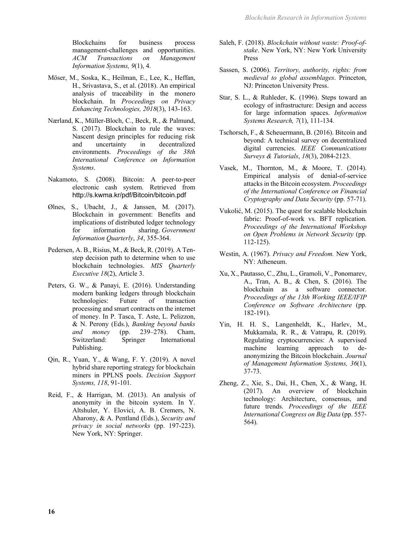Blockchains for business process management-challenges and opportunities. *ACM Transactions on Management Information Systems, 9*(1), 4.

- Möser, M., Soska, K., Heilman, E., Lee, K., Heffan, H., Srivastava, S., et al. (2018). An empirical analysis of traceability in the monero blockchain. In *Proceedings on Privacy Enhancing Technologies, 2018*(3), 143-163.
- Nærland, K., Müller-Bloch, C., Beck, R., & Palmund, S. (2017). Blockchain to rule the waves: Nascent design principles for reducing risk and uncertainty in decentralized environments. *Proceedings of the 38th International Conference on Information Systems*.
- Nakamoto, S. (2008). Bitcoin: A peer-to-peer electronic cash system. Retrieved from http://s.kwma.kr/pdf/Bitcoin/bitcoin.pdf
- Ølnes, S., Ubacht, J., & Janssen, M. (2017). Blockchain in government: Benefits and implications of distributed ledger technology for information sharing. *Government Information Quarterly*, *34*, 355-364.
- Pedersen, A. B., Risius, M., & Beck, R. (2019). A Tenstep decision path to determine when to use blockchain technologies. *MIS Quarterly Executive 18*(2), Article 3.
- Peters, G. W., & Panayi, E. (2016). Understanding modern banking ledgers through blockchain technologies: Future of transaction processing and smart contracts on the internet of money. In P. Tasca, T. Aste, L. Pelizzon, & N. Perony (Eds.), *Banking beyond banks and money* (pp. 239–278). Cham, Switzerland: Springer International Publishing.
- Qin, R., Yuan, Y., & Wang, F. Y. (2019). A novel hybrid share reporting strategy for blockchain miners in PPLNS pools. *Decision Support Systems, 118*, 91-101.
- Reid, F., & Harrigan, M. (2013). An analysis of anonymity in the bitcoin system. In Y. Altshuler, Y. Elovici, A. B. Cremers, N. Aharony, & A. Pentland (Eds.), *Security and privacy in social networks* (pp. 197-223). New York, NY: Springer.
- Saleh, F. (2018). *Blockchain without waste: Proof-ofstake*. New York, NY: New York University Press
- Sassen, S. (2006). *Territory, authority, rights: from medieval to global assemblages*. Princeton, NJ: Princeton University Press.
- Star, S. L., & Ruhleder, K. (1996). Steps toward an ecology of infrastructure: Design and access for large information spaces. *Information Systems Research, 7*(1), 111-134.
- Tschorsch, F., & Scheuermann, B. (2016). Bitcoin and beyond: A technical survey on decentralized digital currencies. *IEEE Communications Surveys & Tutorials*, *18*(3), 2084-2123.
- Vasek, M., Thornton, M., & Moore, T. (2014). Empirical analysis of denial-of-service attacks in the Bitcoin ecosystem. *Proceedings of the International Conference on Financial Cryptography and Data Security* (pp. 57-71).
- Vukolić, M. (2015). The quest for scalable blockchain fabric: Proof-of-work vs. BFT replication. *Proceedings of the International Workshop on Open Problems in Network Security* (pp. 112-125).
- Westin, A. (1967). *Privacy and Freedom.* New York, NY: Atheneum.
- Xu, X., Pautasso, C., Zhu, L., Gramoli, V., Ponomarev, A., Tran, A. B., & Chen, S. (2016). The blockchain as a software connector. *Proceedings of the 13th Working IEEE/IFIP Conference on Software Architecture* (pp. 182-191).
- Yin, H. H. S., Langenheldt, K., Harlev, M., Mukkamala, R. R., & Vatrapu, R. (2019). Regulating cryptocurrencies: A supervised machine learning approach to deanonymizing the Bitcoin blockchain. *Journal of Management Information Systems, 36*(1), 37-73.
- Zheng, Z., Xie, S., Dai, H., Chen, X., & Wang, H. (2017). An overview of blockchain technology: Architecture, consensus, and future trends. *Proceedings of the IEEE International Congress on Big Data* (pp. 557- 564).